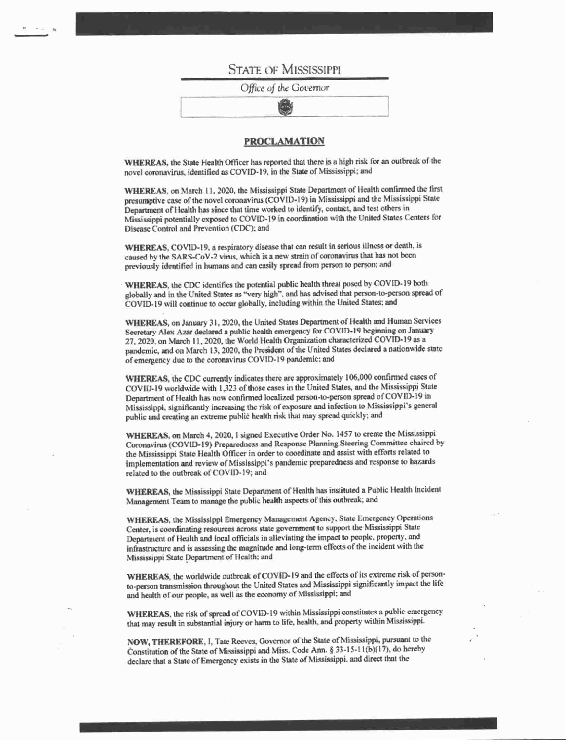## **STATE OF MISSISSIPPI**

Office of the Governor

## **PROCLAMATION**

WHEREAS, the State Health Officer has reported that there is a high risk for an outbreak of the novel coronavirus, identified as COVID-19, in the State of Mississippi; and

WHEREAS, on March 11, 2020, the Mississippi State Department of Health confirmed the first presumptive case of the novel coronavirus (COVID-19) in Mississippi and the Mississippi State Department of Health has since that time worked to identify, contact, and test others in Mississippi potentially exposed to COVID-19 in coordination with the United States Centers for Disease Control and Prevention (CDC); and

WHEREAS, COVID-19, a respiratory disease that can result in serious illness or death, is caused by the SARS-CoV-2 virus, which is a new strain of coronavirus that has not been previously identified in humans and can easily spread from person to person; and

WHEREAS, the CDC identifies the potential public health threat posed by COVID-19 both globally and in the United States as "very high", and has advised that person-to-person spread of COVID-19 will continue to occur globally, including within the United States; and

WHEREAS, on January 31, 2020, the United States Department of Health and Human Services Secretary Alex Azar declared a public health emergency for COVID-19 beginning on January 27, 2020, on March 11, 2020, the World Health Organization characterized COVID-19 as a pandemic, and on March 13, 2020, the President of the United States declared a nationwide state of emergency due to the coronavirus COVID-19 pandemic; and

WHEREAS, the CDC currently indicates there are approximately 106,000 confirmed cases of COVID-19 worldwide with 1,323 of those cases in the United States, and the Mississippi State Department of Health has now confirmed localized person-to-person spread of COVID-19 in Mississippi, significantly increasing the risk of exposure and infection to Mississippi's general public and creating an extreme public health risk that may spread quickly; and

WHEREAS, on March 4, 2020, I signed Executive Order No. 1457 to create the Mississippi Coronavirus (COVID-19) Preparedness and Response Planning Steering Committee chaired by the Mississippi State Health Officer in order to coordinate and assist with efforts related to implementation and review of Mississippi's pandemic preparedness and response to hazards related to the outbreak of COVID-19; and

WHEREAS, the Mississippi State Department of Health has instituted a Public Health Incident Management Team to manage the public health aspects of this outbreak; and

WHEREAS, the Mississippi Emergency Management Agency, State Emergency Operations Center, is coordinating resources across state government to support the Mississippi State Department of Health and local officials in alleviating the impact to people, property, and infrastructure and is assessing the magnitude and long-term effects of the incident with the Mississippi State Department of Health; and

WHEREAS, the worldwide outbreak of COVID-19 and the effects of its extreme risk of personto-person transmission throughout the United States and Mississippi significantly impact the life and health of our people, as well as the economy of Mississippi; and

WHEREAS, the risk of spread of COVID-19 within Mississippi constitutes a public emergency that may result in substantial injury or harm to life, health, and property within Mississippi.

NOW, THEREFORE, I, Tate Reeves, Governor of the State of Mississippi, pursuant to the Constitution of the State of Mississippi and Miss. Code Ann. § 33-15-11(b)(17), do hereby declare that a State of Emergency exists in the State of Mississippi, and direct that the